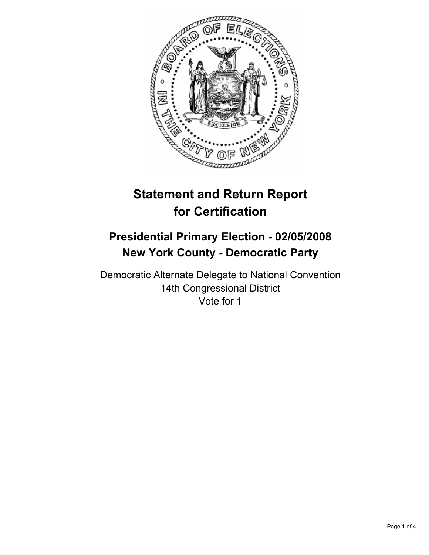

# **Statement and Return Report for Certification**

# **Presidential Primary Election - 02/05/2008 New York County - Democratic Party**

Democratic Alternate Delegate to National Convention 14th Congressional District Vote for 1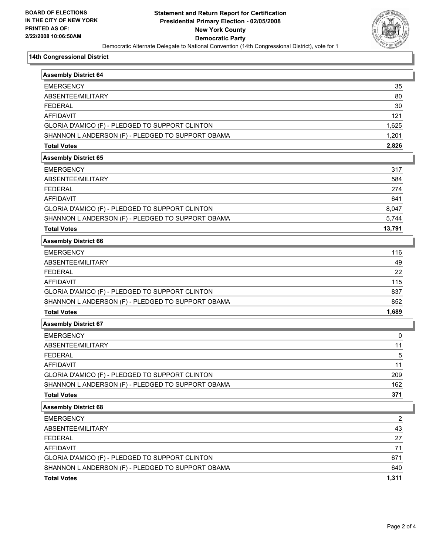

#### **14th Congressional District**

| <b>Assembly District 64</b>                       |        |
|---------------------------------------------------|--------|
| <b>EMERGENCY</b>                                  | 35     |
| ABSENTEE/MILITARY                                 | 80     |
| <b>FEDERAL</b>                                    | 30     |
| <b>AFFIDAVIT</b>                                  | 121    |
| GLORIA D'AMICO (F) - PLEDGED TO SUPPORT CLINTON   | 1,625  |
| SHANNON L ANDERSON (F) - PLEDGED TO SUPPORT OBAMA | 1,201  |
| <b>Total Votes</b>                                | 2,826  |
| <b>Assembly District 65</b>                       |        |
| <b>EMERGENCY</b>                                  | 317    |
| ABSENTEE/MILITARY                                 | 584    |
| <b>FEDERAL</b>                                    | 274    |
| <b>AFFIDAVIT</b>                                  | 641    |
| GLORIA D'AMICO (F) - PLEDGED TO SUPPORT CLINTON   | 8,047  |
| SHANNON L ANDERSON (F) - PLEDGED TO SUPPORT OBAMA | 5,744  |
| <b>Total Votes</b>                                | 13,791 |
| <b>Assembly District 66</b>                       |        |
| <b>EMERGENCY</b>                                  | 116    |
| ABSENTEE/MILITARY                                 | 49     |
| <b>FEDERAL</b>                                    | 22     |
| <b>AFFIDAVIT</b>                                  | 115    |
| GLORIA D'AMICO (F) - PLEDGED TO SUPPORT CLINTON   | 837    |
| SHANNON L ANDERSON (F) - PLEDGED TO SUPPORT OBAMA | 852    |
| <b>Total Votes</b>                                | 1,689  |
| <b>Assembly District 67</b>                       |        |
| <b>EMERGENCY</b>                                  | 0      |
| ABSENTEE/MILITARY                                 | 11     |
| <b>FEDERAL</b>                                    | 5      |
| <b>AFFIDAVIT</b>                                  | 11     |
| GLORIA D'AMICO (F) - PLEDGED TO SUPPORT CLINTON   | 209    |
| SHANNON L ANDERSON (F) - PLEDGED TO SUPPORT OBAMA | 162    |
| <b>Total Votes</b>                                | 371    |
| <b>Assembly District 68</b>                       |        |
| <b>EMERGENCY</b>                                  | 2      |
| ABSENTEE/MILITARY                                 | 43     |
| <b>FEDERAL</b>                                    | 27     |
| <b>AFFIDAVIT</b>                                  | 71     |
| GLORIA D'AMICO (F) - PLEDGED TO SUPPORT CLINTON   | 671    |
| SHANNON L ANDERSON (F) - PLEDGED TO SUPPORT OBAMA | 640    |
| <b>Total Votes</b>                                | 1,311  |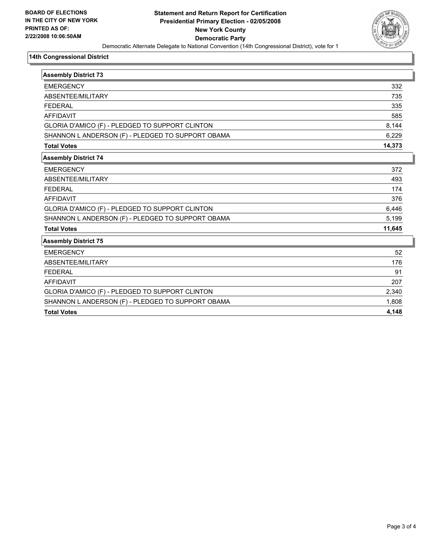

#### **14th Congressional District**

| <b>Assembly District 73</b>                       |        |
|---------------------------------------------------|--------|
| <b>EMERGENCY</b>                                  | 332    |
| ABSENTEE/MILITARY                                 | 735    |
| <b>FFDFRAL</b>                                    | 335    |
| <b>AFFIDAVIT</b>                                  | 585    |
| GLORIA D'AMICO (F) - PLEDGED TO SUPPORT CLINTON   | 8,144  |
| SHANNON L ANDERSON (F) - PLEDGED TO SUPPORT OBAMA | 6,229  |
| <b>Total Votes</b>                                | 14,373 |
| <b>Assembly District 74</b>                       |        |
| <b>EMERGENCY</b>                                  | 372    |
| ABSENTEE/MILITARY                                 | 493    |
| <b>FEDERAL</b>                                    | 174    |
| <b>AFFIDAVIT</b>                                  | 376    |
| GLORIA D'AMICO (F) - PLEDGED TO SUPPORT CLINTON   | 6,446  |
| SHANNON L ANDERSON (F) - PLEDGED TO SUPPORT OBAMA | 5,199  |
| <b>Total Votes</b>                                | 11,645 |
| <b>Assembly District 75</b>                       |        |
| <b>EMERGENCY</b>                                  | 52     |
| ABSENTEE/MILITARY                                 | 176    |
| <b>FEDERAL</b>                                    | 91     |
| <b>AFFIDAVIT</b>                                  | 207    |
| GLORIA D'AMICO (F) - PLEDGED TO SUPPORT CLINTON   | 2,340  |
| SHANNON L ANDERSON (F) - PLEDGED TO SUPPORT OBAMA | 1,808  |
| <b>Total Votes</b>                                | 4,148  |
|                                                   |        |